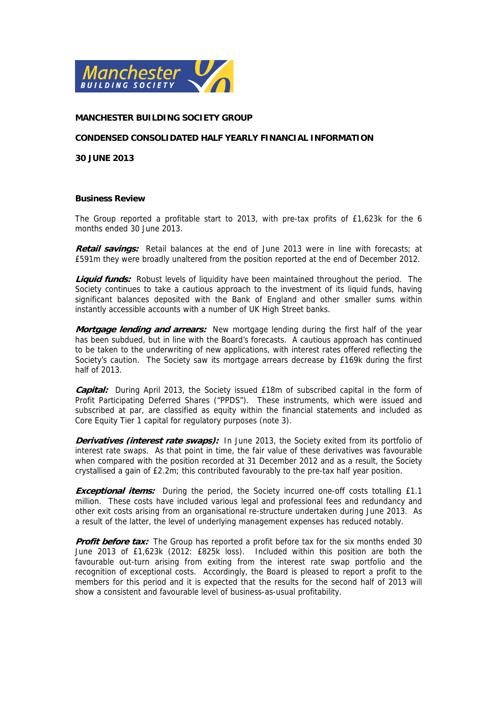

#### **MANCHESTER BUILDING SOCIETY GROUP**

#### **CONDENSED CONSOLIDATED HALF YEARLY FINANCIAL INFORMATION**

**30 JUNE 2013** 

#### **Business Review**

The Group reported a profitable start to 2013, with pre-tax profits of £1,623k for the 6 months ended 30 June 2013.

**Retail savings:** Retail balances at the end of June 2013 were in line with forecasts; at £591m they were broadly unaltered from the position reported at the end of December 2012.

**Liquid funds:** Robust levels of liquidity have been maintained throughout the period. The Society continues to take a cautious approach to the investment of its liquid funds, having significant balances deposited with the Bank of England and other smaller sums within instantly accessible accounts with a number of UK High Street banks.

**Mortgage lending and arrears:** New mortgage lending during the first half of the year has been subdued, but in line with the Board's forecasts. A cautious approach has continued to be taken to the underwriting of new applications, with interest rates offered reflecting the Society's caution. The Society saw its mortgage arrears decrease by £169k during the first half of 2013.

**Capital:** During April 2013, the Society issued £18m of subscribed capital in the form of Profit Participating Deferred Shares ("PPDS"). These instruments, which were issued and subscribed at par, are classified as equity within the financial statements and included as Core Equity Tier 1 capital for regulatory purposes (note 3).

**Derivatives (interest rate swaps):** In June 2013, the Society exited from its portfolio of interest rate swaps. As that point in time, the fair value of these derivatives was favourable when compared with the position recorded at 31 December 2012 and as a result, the Society crystallised a gain of £2.2m; this contributed favourably to the pre-tax half year position.

**Exceptional items:** During the period, the Society incurred one-off costs totalling £1.1 million. These costs have included various legal and professional fees and redundancy and other exit costs arising from an organisational re-structure undertaken during June 2013. As a result of the latter, the level of underlying management expenses has reduced notably.

**Profit before tax:** The Group has reported a profit before tax for the six months ended 30 June 2013 of £1,623k (2012: £825k loss). Included within this position are both the favourable out-turn arising from exiting from the interest rate swap portfolio and the recognition of exceptional costs. Accordingly, the Board is pleased to report a profit to the members for this period and it is expected that the results for the second half of 2013 will show a consistent and favourable level of business-as-usual profitability.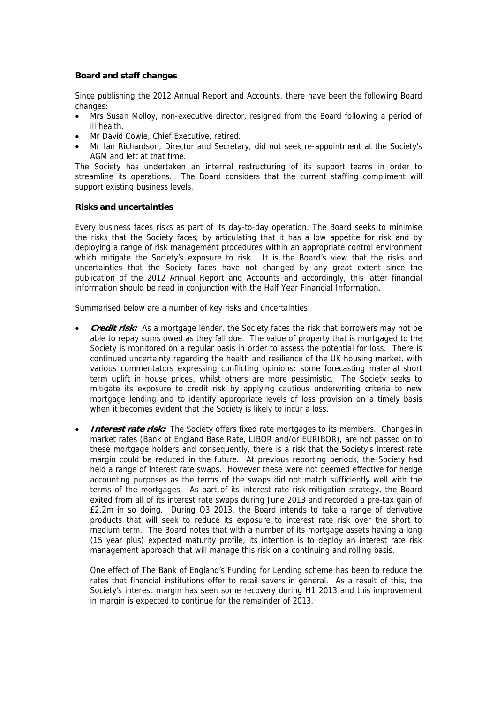## **Board and staff changes**

Since publishing the 2012 Annual Report and Accounts, there have been the following Board changes:

- Mrs Susan Molloy, non-executive director, resigned from the Board following a period of ill health.
- Mr David Cowie, Chief Executive, retired.
- Mr Ian Richardson, Director and Secretary, did not seek re-appointment at the Society's AGM and left at that time.

The Society has undertaken an internal restructuring of its support teams in order to streamline its operations. The Board considers that the current staffing compliment will support existing business levels.

### **Risks and uncertainties**

Every business faces risks as part of its day-to-day operation. The Board seeks to minimise the risks that the Society faces, by articulating that it has a low appetite for risk and by deploying a range of risk management procedures within an appropriate control environment which mitigate the Society's exposure to risk. It is the Board's view that the risks and uncertainties that the Society faces have not changed by any great extent since the publication of the 2012 Annual Report and Accounts and accordingly, this latter financial information should be read in conjunction with the Half Year Financial Information.

Summarised below are a number of key risks and uncertainties:

- **Credit risk:** As a mortgage lender, the Society faces the risk that borrowers may not be able to repay sums owed as they fall due. The value of property that is mortgaged to the Society is monitored on a regular basis in order to assess the potential for loss. There is continued uncertainty regarding the health and resilience of the UK housing market, with various commentators expressing conflicting opinions: some forecasting material short term uplift in house prices, whilst others are more pessimistic. The Society seeks to mitigate its exposure to credit risk by applying cautious underwriting criteria to new mortgage lending and to identify appropriate levels of loss provision on a timely basis when it becomes evident that the Society is likely to incur a loss.
- **Interest rate risk:** The Society offers fixed rate mortgages to its members. Changes in market rates (Bank of England Base Rate, LIBOR and/or EURIBOR), are not passed on to these mortgage holders and consequently, there is a risk that the Society's interest rate margin could be reduced in the future. At previous reporting periods, the Society had held a range of interest rate swaps. However these were not deemed effective for hedge accounting purposes as the terms of the swaps did not match sufficiently well with the terms of the mortgages. As part of its interest rate risk mitigation strategy, the Board exited from all of its interest rate swaps during June 2013 and recorded a pre-tax gain of £2.2m in so doing. During Q3 2013, the Board intends to take a range of derivative products that will seek to reduce its exposure to interest rate risk over the short to medium term. The Board notes that with a number of its mortgage assets having a long (15 year plus) expected maturity profile, its intention is to deploy an interest rate risk management approach that will manage this risk on a continuing and rolling basis.

One effect of The Bank of England's Funding for Lending scheme has been to reduce the rates that financial institutions offer to retail savers in general. As a result of this, the Society's interest margin has seen some recovery during H1 2013 and this improvement in margin is expected to continue for the remainder of 2013.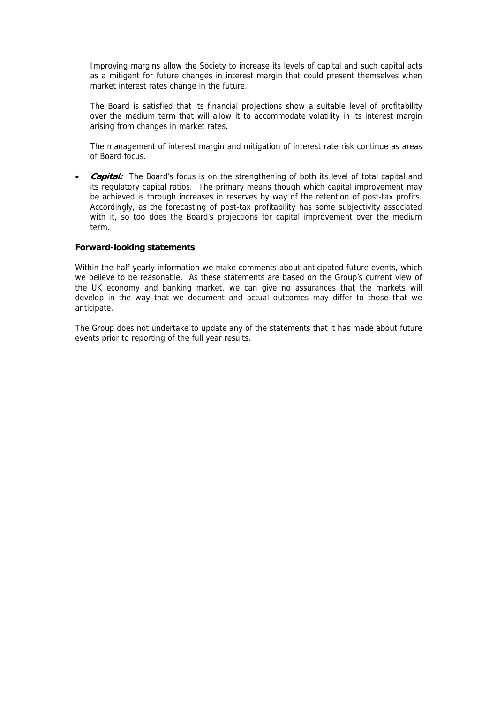Improving margins allow the Society to increase its levels of capital and such capital acts as a mitigant for future changes in interest margin that could present themselves when market interest rates change in the future.

The Board is satisfied that its financial projections show a suitable level of profitability over the medium term that will allow it to accommodate volatility in its interest margin arising from changes in market rates.

The management of interest margin and mitigation of interest rate risk continue as areas of Board focus.

• *Capital:* The Board's focus is on the strengthening of both its level of total capital and its regulatory capital ratios. The primary means though which capital improvement may be achieved is through increases in reserves by way of the retention of post-tax profits. Accordingly, as the forecasting of post-tax profitability has some subjectivity associated with it, so too does the Board's projections for capital improvement over the medium term.

#### **Forward-looking statements**

Within the half yearly information we make comments about anticipated future events, which we believe to be reasonable. As these statements are based on the Group's current view of the UK economy and banking market, we can give no assurances that the markets will develop in the way that we document and actual outcomes may differ to those that we anticipate.

The Group does not undertake to update any of the statements that it has made about future events prior to reporting of the full year results.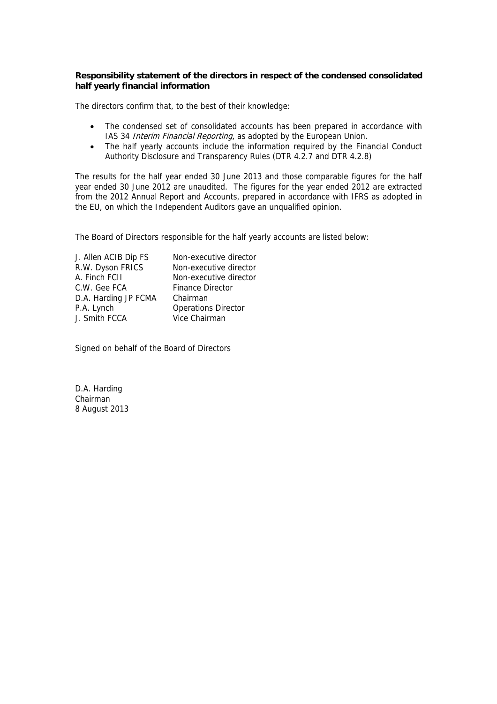## **Responsibility statement of the directors in respect of the condensed consolidated half yearly financial information**

The directors confirm that, to the best of their knowledge:

- The condensed set of consolidated accounts has been prepared in accordance with IAS 34 *Interim Financial Reporting*, as adopted by the European Union.
- The half yearly accounts include the information required by the Financial Conduct Authority Disclosure and Transparency Rules (DTR 4.2.7 and DTR 4.2.8)

The results for the half year ended 30 June 2013 and those comparable figures for the half year ended 30 June 2012 are unaudited. The figures for the year ended 2012 are extracted from the 2012 Annual Report and Accounts, prepared in accordance with IFRS as adopted in the EU, on which the Independent Auditors gave an unqualified opinion.

The Board of Directors responsible for the half yearly accounts are listed below:

| Non-executive director     |
|----------------------------|
| Non-executive director     |
| Non-executive director     |
| <b>Finance Director</b>    |
| Chairman                   |
| <b>Operations Director</b> |
| Vice Chairman              |
|                            |

Signed on behalf of the Board of Directors

D.A. Harding Chairman 8 August 2013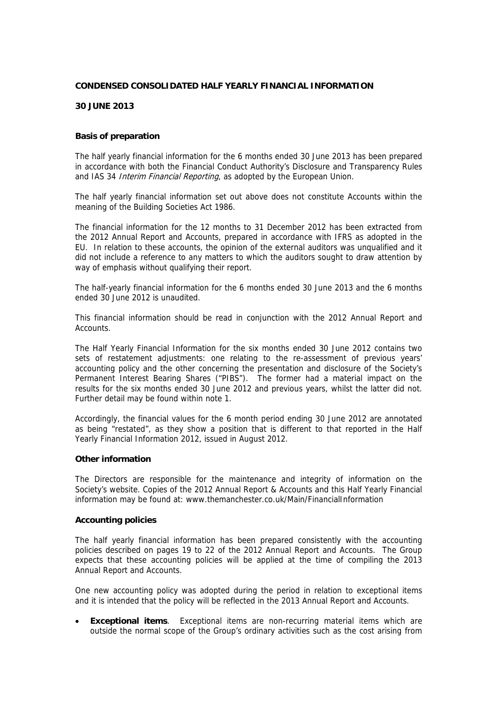#### **CONDENSED CONSOLIDATED HALF YEARLY FINANCIAL INFORMATION**

### **30 JUNE 2013**

#### **Basis of preparation**

The half yearly financial information for the 6 months ended 30 June 2013 has been prepared in accordance with both the Financial Conduct Authority's Disclosure and Transparency Rules and IAS 34 *Interim Financial Reporting*, as adopted by the European Union.

The half yearly financial information set out above does not constitute Accounts within the meaning of the Building Societies Act 1986.

The financial information for the 12 months to 31 December 2012 has been extracted from the 2012 Annual Report and Accounts, prepared in accordance with IFRS as adopted in the EU. In relation to these accounts, the opinion of the external auditors was unqualified and it did not include a reference to any matters to which the auditors sought to draw attention by way of emphasis without qualifying their report.

The half-yearly financial information for the 6 months ended 30 June 2013 and the 6 months ended 30 June 2012 is unaudited.

This financial information should be read in conjunction with the 2012 Annual Report and Accounts.

The Half Yearly Financial Information for the six months ended 30 June 2012 contains two sets of restatement adjustments: one relating to the re-assessment of previous years' accounting policy and the other concerning the presentation and disclosure of the Society's Permanent Interest Bearing Shares ("PIBS"). The former had a material impact on the results for the six months ended 30 June 2012 and previous years, whilst the latter did not. Further detail may be found within note 1.

Accordingly, the financial values for the 6 month period ending 30 June 2012 are annotated as being "restated", as they show a position that is different to that reported in the Half Yearly Financial Information 2012, issued in August 2012.

#### **Other information**

The Directors are responsible for the maintenance and integrity of information on the Society's website. Copies of the 2012 Annual Report & Accounts and this Half Yearly Financial information may be found at: www.themanchester.co.uk/Main/FinancialInformation

#### **Accounting policies**

The half yearly financial information has been prepared consistently with the accounting policies described on pages 19 to 22 of the 2012 Annual Report and Accounts. The Group expects that these accounting policies will be applied at the time of compiling the 2013 Annual Report and Accounts.

One new accounting policy was adopted during the period in relation to exceptional items and it is intended that the policy will be reflected in the 2013 Annual Report and Accounts.

 **Exceptional items**. Exceptional items are non-recurring material items which are outside the normal scope of the Group's ordinary activities such as the cost arising from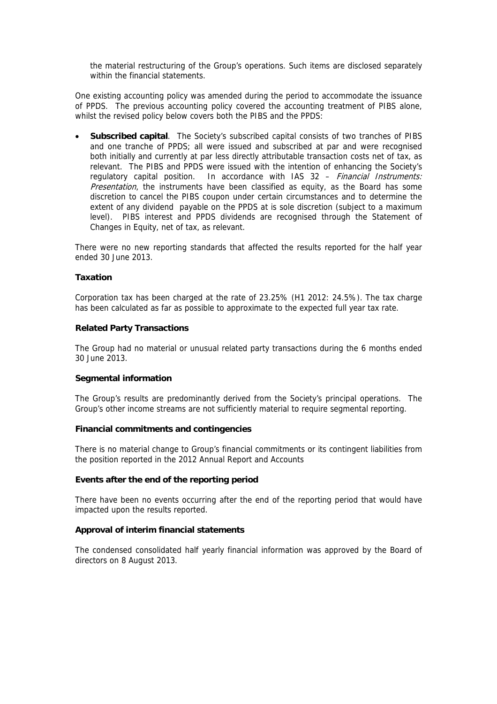the material restructuring of the Group's operations. Such items are disclosed separately within the financial statements.

One existing accounting policy was amended during the period to accommodate the issuance of PPDS. The previous accounting policy covered the accounting treatment of PIBS alone, whilst the revised policy below covers both the PIBS and the PPDS:

 **Subscribed capital**. The Society's subscribed capital consists of two tranches of PIBS and one tranche of PPDS; all were issued and subscribed at par and were recognised both initially and currently at par less directly attributable transaction costs net of tax, as relevant. The PIBS and PPDS were issued with the intention of enhancing the Society's regulatory capital position. In accordance with IAS 32 - Financial Instruments: Presentation, the instruments have been classified as equity, as the Board has some discretion to cancel the PIBS coupon under certain circumstances and to determine the extent of any dividend payable on the PPDS at is sole discretion (subject to a maximum level). PIBS interest and PPDS dividends are recognised through the Statement of Changes in Equity, net of tax, as relevant.

There were no new reporting standards that affected the results reported for the half year ended 30 June 2013.

#### **Taxation**

Corporation tax has been charged at the rate of 23.25% (H1 2012: 24.5%). The tax charge has been calculated as far as possible to approximate to the expected full year tax rate.

#### **Related Party Transactions**

The Group had no material or unusual related party transactions during the 6 months ended 30 June 2013.

### **Segmental information**

The Group's results are predominantly derived from the Society's principal operations. The Group's other income streams are not sufficiently material to require segmental reporting.

#### **Financial commitments and contingencies**

There is no material change to Group's financial commitments or its contingent liabilities from the position reported in the 2012 Annual Report and Accounts

### **Events after the end of the reporting period**

There have been no events occurring after the end of the reporting period that would have impacted upon the results reported.

#### **Approval of interim financial statements**

The condensed consolidated half yearly financial information was approved by the Board of directors on 8 August 2013.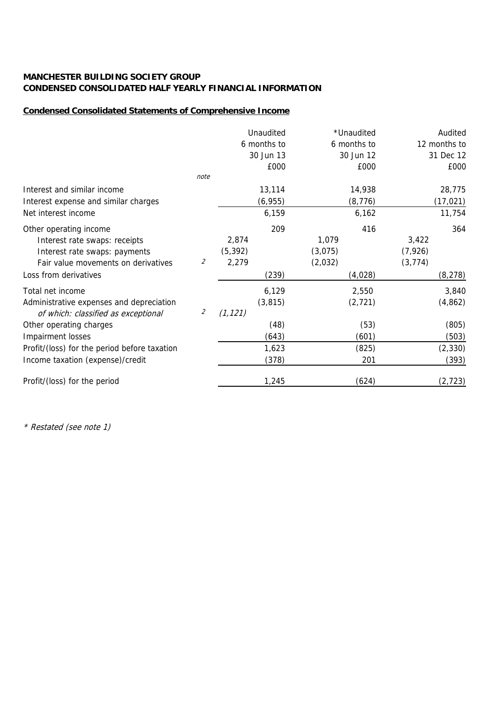## **Condensed Consolidated Statements of Comprehensive Income**

|                                              |                             |          | Unaudited   | *Unaudited  | Audited      |
|----------------------------------------------|-----------------------------|----------|-------------|-------------|--------------|
|                                              |                             |          | 6 months to | 6 months to | 12 months to |
|                                              |                             |          | 30 Jun 13   | 30 Jun 12   | 31 Dec 12    |
|                                              |                             |          | £000        | £000        | £000         |
|                                              | note                        |          |             |             |              |
| Interest and similar income                  |                             |          | 13,114      | 14,938      | 28,775       |
| Interest expense and similar charges         |                             |          | (6, 955)    | (8, 776)    | (17, 021)    |
| Net interest income                          |                             |          | 6,159       | 6,162       | 11,754       |
| Other operating income                       |                             |          | 209         | 416         | 364          |
| Interest rate swaps: receipts                |                             | 2,874    |             | 1,079       | 3,422        |
| Interest rate swaps: payments                |                             | (5, 392) |             | (3,075)     | (7, 926)     |
| Fair value movements on derivatives          | $\mathcal{Z}_{\mathcal{C}}$ | 2,279    |             | (2,032)     | (3, 774)     |
| Loss from derivatives                        |                             |          | (239)       | (4,028)     | (8, 278)     |
| Total net income                             |                             |          | 6,129       | 2,550       | 3,840        |
| Administrative expenses and depreciation     |                             |          | (3, 815)    | (2, 721)    | (4, 862)     |
| of which: classified as exceptional          | 2                           | (1, 121) |             |             |              |
| Other operating charges                      |                             |          | (48)        | (53)        | (805)        |
| Impairment losses                            |                             |          | (643)       | (601)       | (503)        |
| Profit/(loss) for the period before taxation |                             |          | 1,623       | (825)       | (2, 330)     |
| Income taxation (expense)/credit             |                             |          | (378)       | 201         | (393)        |
| Profit/(loss) for the period                 |                             |          | 1,245       | (624)       | (2, 723)     |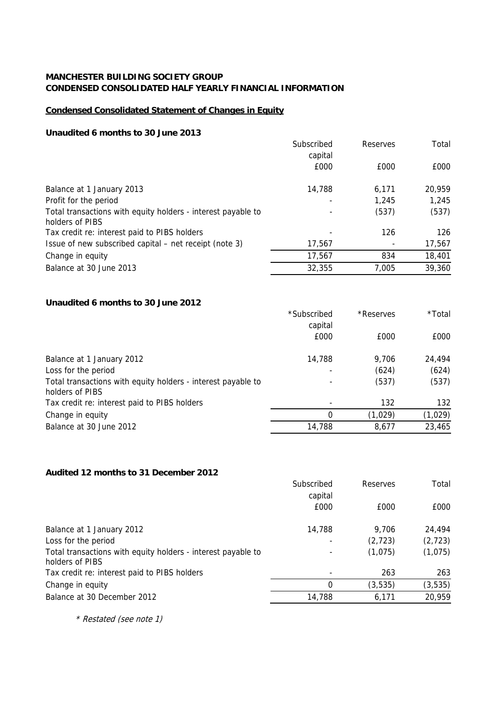## **Condensed Consolidated Statement of Changes in Equity**

## **Unaudited 6 months to 30 June 2013**

|                                                                                 | Subscribed<br>capital | Reserves | Total  |
|---------------------------------------------------------------------------------|-----------------------|----------|--------|
|                                                                                 | £000                  | £000     | £000   |
| Balance at 1 January 2013                                                       | 14,788                | 6,171    | 20,959 |
| Profit for the period                                                           | ٠                     | 1,245    | 1,245  |
| Total transactions with equity holders - interest payable to<br>holders of PIBS |                       | (537)    | (537)  |
| Tax credit re: interest paid to PIBS holders                                    |                       | 126      | 126    |
| Issue of new subscribed capital – net receipt (note 3)                          | 17,567                |          | 17,567 |
| Change in equity                                                                | 17,567                | 834      | 18,401 |
| Balance at 30 June 2013                                                         | 32,355                | 7,005    | 39,360 |

## **Unaudited 6 months to 30 June 2012**

|                                                                                 | *Subscribed              | *Reserves | *Total  |
|---------------------------------------------------------------------------------|--------------------------|-----------|---------|
|                                                                                 | capital                  |           |         |
|                                                                                 | £000                     | £000      | £000    |
| Balance at 1 January 2012                                                       | 14,788                   | 9.706     | 24,494  |
| Loss for the period                                                             |                          | (624)     | (624)   |
| Total transactions with equity holders - interest payable to<br>holders of PIBS | $\overline{\phantom{a}}$ | (537)     | (537)   |
| Tax credit re: interest paid to PIBS holders                                    | $\overline{\phantom{0}}$ | 132       | 132     |
| Change in equity                                                                | 0                        | (1,029)   | (1,029) |
| Balance at 30 June 2012                                                         | 14,788                   | 8,677     | 23,465  |
|                                                                                 |                          |           |         |

## **Audited 12 months to 31 December 2012**

|                                                                                 | Subscribed<br>capital    | Reserves | Total    |
|---------------------------------------------------------------------------------|--------------------------|----------|----------|
|                                                                                 | £000                     | £000     | £000     |
| Balance at 1 January 2012                                                       | 14,788                   | 9.706    | 24,494   |
| Loss for the period                                                             | $\overline{\phantom{a}}$ | (2, 723) | (2, 723) |
| Total transactions with equity holders - interest payable to<br>holders of PIBS | $\overline{\phantom{a}}$ | (1,075)  | (1,075)  |
| Tax credit re: interest paid to PIBS holders                                    |                          | 263      | 263      |
| Change in equity                                                                | 0                        | (3, 535) | (3, 535) |
| Balance at 30 December 2012                                                     | 14,788                   | 6,171    | 20,959   |
|                                                                                 |                          |          |          |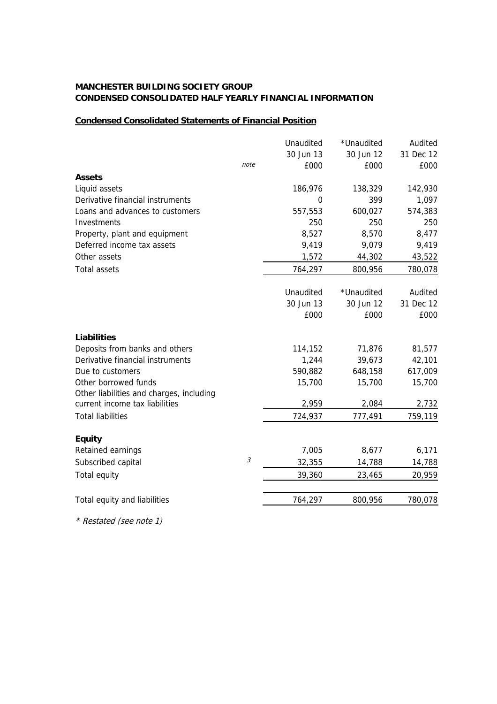# **Condensed Consolidated Statements of Financial Position**

|                                          |                             | Unaudited | *Unaudited | Audited   |
|------------------------------------------|-----------------------------|-----------|------------|-----------|
|                                          |                             | 30 Jun 13 | 30 Jun 12  | 31 Dec 12 |
|                                          | note                        | £000      | £000       | £000      |
| <b>Assets</b>                            |                             |           |            |           |
| Liquid assets                            |                             | 186,976   | 138,329    | 142,930   |
| Derivative financial instruments         |                             | 0         | 399        | 1,097     |
| Loans and advances to customers          |                             | 557,553   | 600,027    | 574,383   |
| Investments                              |                             | 250       | 250        | 250       |
| Property, plant and equipment            |                             | 8,527     | 8,570      | 8,477     |
| Deferred income tax assets               |                             | 9,419     | 9,079      | 9,419     |
| Other assets                             |                             | 1,572     | 44,302     | 43,522    |
| <b>Total assets</b>                      |                             | 764,297   | 800,956    | 780,078   |
|                                          |                             |           |            |           |
|                                          |                             | Unaudited | *Unaudited | Audited   |
|                                          |                             | 30 Jun 13 | 30 Jun 12  | 31 Dec 12 |
|                                          |                             | £000      | £000       | £000      |
| <b>Liabilities</b>                       |                             |           |            |           |
| Deposits from banks and others           |                             | 114,152   | 71,876     | 81,577    |
| Derivative financial instruments         |                             | 1,244     | 39,673     | 42,101    |
| Due to customers                         |                             | 590,882   | 648,158    | 617,009   |
| Other borrowed funds                     |                             | 15,700    | 15,700     | 15,700    |
| Other liabilities and charges, including |                             |           |            |           |
| current income tax liabilities           |                             | 2,959     | 2,084      | 2,732     |
| <b>Total liabilities</b>                 |                             | 724,937   | 777,491    | 759,119   |
| <b>Equity</b>                            |                             |           |            |           |
| Retained earnings                        |                             | 7,005     | 8,677      | 6,171     |
| Subscribed capital                       | $\mathcal{S}_{\mathcal{S}}$ | 32,355    | 14,788     | 14,788    |
| Total equity                             |                             | 39,360    | 23,465     | 20,959    |
| Total equity and liabilities             |                             | 764,297   | 800,956    | 780,078   |
|                                          |                             |           |            |           |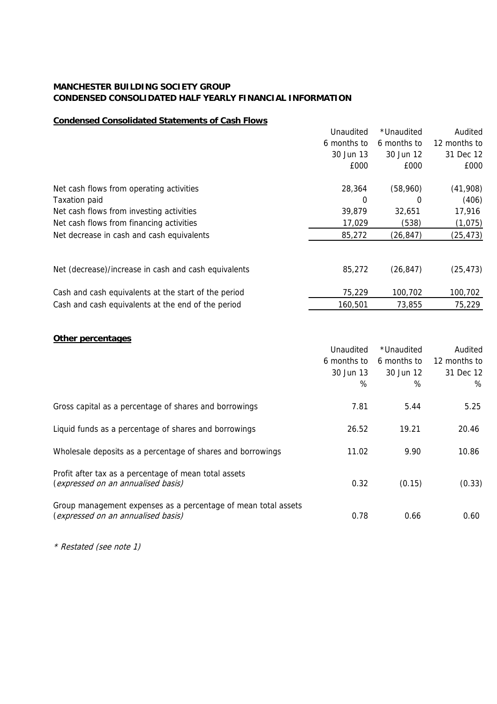## **Condensed Consolidated Statements of Cash Flows**

|                                                      | Unaudited   | *Unaudited  | Audited      |
|------------------------------------------------------|-------------|-------------|--------------|
|                                                      | 6 months to | 6 months to | 12 months to |
|                                                      | 30 Jun 13   | 30 Jun 12   | 31 Dec 12    |
|                                                      | £000        | £000        | £000         |
| Net cash flows from operating activities             | 28,364      | (58,960)    | (41,908)     |
| <b>Taxation paid</b>                                 | 0           | 0           | (406)        |
| Net cash flows from investing activities             | 39,879      | 32,651      | 17,916       |
| Net cash flows from financing activities             | 17,029      | (538)       | (1,075)      |
| Net decrease in cash and cash equivalents            | 85,272      | (26, 847)   | (25, 473)    |
| Net (decrease)/increase in cash and cash equivalents | 85,272      | (26, 847)   | (25, 473)    |
| Cash and cash equivalents at the start of the period | 75,229      | 100,702     | 100,702      |
| Cash and cash equivalents at the end of the period   | 160,501     | 73.855      | 75,229       |
|                                                      |             |             |              |

## **Other percentages**

|                                                                                                      | Unaudited   | *Unaudited  | Audited      |
|------------------------------------------------------------------------------------------------------|-------------|-------------|--------------|
|                                                                                                      | 6 months to | 6 months to | 12 months to |
|                                                                                                      | 30 Jun 13   | 30 Jun 12   | 31 Dec 12    |
|                                                                                                      | %           | %           | %            |
| Gross capital as a percentage of shares and borrowings                                               | 7.81        | 5.44        | 5.25         |
| Liquid funds as a percentage of shares and borrowings                                                | 26.52       | 19.21       | 20.46        |
| Wholesale deposits as a percentage of shares and borrowings                                          | 11.02       | 9.90        | 10.86        |
| Profit after tax as a percentage of mean total assets<br>(expressed on an annualised basis)          | 0.32        | (0.15)      | (0.33)       |
| Group management expenses as a percentage of mean total assets<br>(expressed on an annualised basis) | 0.78        | 0.66        | 0.60         |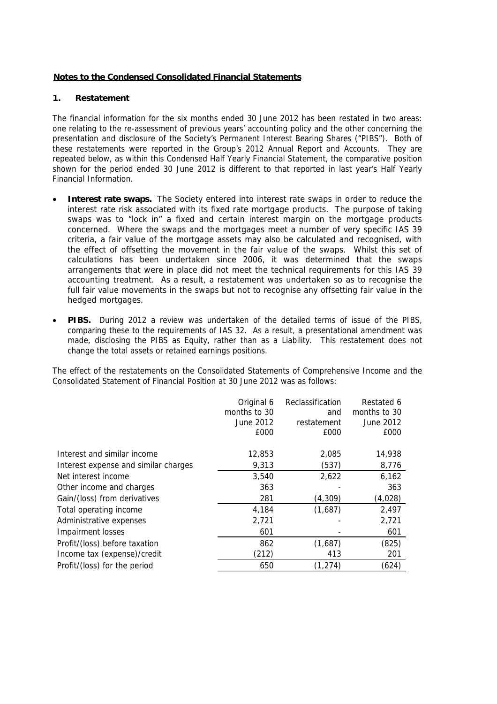## **Notes to the Condensed Consolidated Financial Statements**

## **1. Restatement**

The financial information for the six months ended 30 June 2012 has been restated in two areas: one relating to the re-assessment of previous years' accounting policy and the other concerning the presentation and disclosure of the Society's Permanent Interest Bearing Shares ("PIBS"). Both of these restatements were reported in the Group's 2012 Annual Report and Accounts. They are repeated below, as within this Condensed Half Yearly Financial Statement, the comparative position shown for the period ended 30 June 2012 is different to that reported in last year's Half Yearly Financial Information.

- **Interest rate swaps.** The Society entered into interest rate swaps in order to reduce the interest rate risk associated with its fixed rate mortgage products. The purpose of taking swaps was to "lock in" a fixed and certain interest margin on the mortgage products concerned. Where the swaps and the mortgages meet a number of very specific IAS 39 criteria, a fair value of the mortgage assets may also be calculated and recognised, with the effect of offsetting the movement in the fair value of the swaps. Whilst this set of calculations has been undertaken since 2006, it was determined that the swaps arrangements that were in place did not meet the technical requirements for this IAS 39 accounting treatment. As a result, a restatement was undertaken so as to recognise the full fair value movements in the swaps but not to recognise any offsetting fair value in the hedged mortgages.
- **PIBS.** During 2012 a review was undertaken of the detailed terms of issue of the PIBS, comparing these to the requirements of IAS 32. As a result, a presentational amendment was made, disclosing the PIBS as Equity, rather than as a Liability. This restatement does not change the total assets or retained earnings positions.

The effect of the restatements on the Consolidated Statements of Comprehensive Income and the Consolidated Statement of Financial Position at 30 June 2012 was as follows:

|                                      | Original 6<br>months to 30<br>June 2012<br>£000 | Reclassification<br>and<br>restatement<br>£000 | Restated 6<br>months to 30<br>June 2012<br>£000 |
|--------------------------------------|-------------------------------------------------|------------------------------------------------|-------------------------------------------------|
| Interest and similar income          | 12,853                                          | 2,085                                          | 14,938                                          |
| Interest expense and similar charges | 9,313                                           | (537)                                          | 8,776                                           |
| Net interest income                  | 3,540                                           | 2,622                                          | 6,162                                           |
| Other income and charges             | 363                                             |                                                | 363                                             |
| Gain/(loss) from derivatives         | 281                                             | (4, 309)                                       | (4,028)                                         |
| Total operating income               | 4,184                                           | (1,687)                                        | 2,497                                           |
| Administrative expenses              | 2,721                                           |                                                | 2,721                                           |
| Impairment losses                    | 601                                             |                                                | 601                                             |
| Profit/(loss) before taxation        | 862                                             | (1,687)                                        | (825)                                           |
| Income tax (expense)/credit          | (212)                                           | 413                                            | 201                                             |
| Profit/(loss) for the period         | 650                                             | (1, 274)                                       | (624)                                           |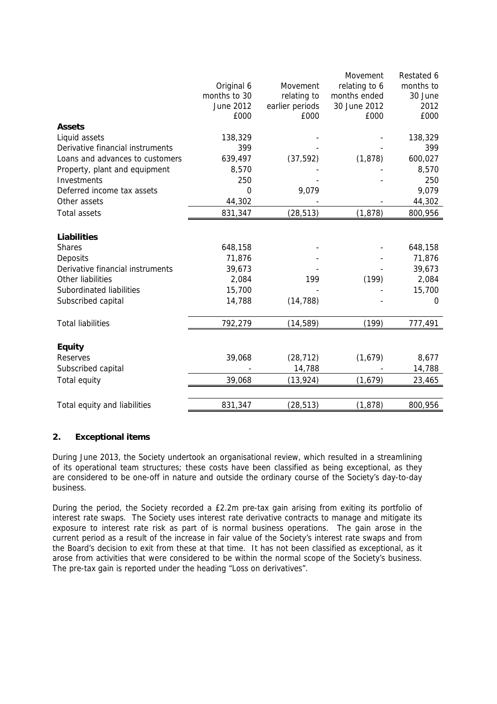|                                  |              |                 | Movement      | Restated 6 |
|----------------------------------|--------------|-----------------|---------------|------------|
|                                  | Original 6   | Movement        | relating to 6 | months to  |
|                                  | months to 30 | relating to     | months ended  | 30 June    |
|                                  | June 2012    | earlier periods | 30 June 2012  | 2012       |
|                                  | £000         | £000            | £000          | £000       |
| <b>Assets</b>                    |              |                 |               |            |
| Liquid assets                    | 138,329      |                 |               | 138,329    |
| Derivative financial instruments | 399          |                 |               | 399        |
| Loans and advances to customers  | 639,497      | (37, 592)       | (1, 878)      | 600,027    |
| Property, plant and equipment    | 8,570        |                 |               | 8,570      |
| Investments                      | 250          |                 |               | 250        |
| Deferred income tax assets       | $\mathbf 0$  | 9,079           |               | 9,079      |
| Other assets                     | 44,302       |                 |               | 44,302     |
| <b>Total assets</b>              | 831,347      | (28, 513)       | (1, 878)      | 800,956    |
|                                  |              |                 |               |            |
| <b>Liabilities</b>               |              |                 |               |            |
| <b>Shares</b>                    | 648,158      |                 |               | 648,158    |
| Deposits                         | 71,876       |                 |               | 71,876     |
| Derivative financial instruments | 39,673       |                 |               | 39,673     |
| Other liabilities                | 2,084        | 199             | (199)         | 2,084      |
| Subordinated liabilities         | 15,700       |                 |               | 15,700     |
| Subscribed capital               | 14,788       | (14, 788)       |               | 0          |
|                                  |              |                 |               |            |
| <b>Total liabilities</b>         | 792,279      | (14, 589)       | (199)         | 777,491    |
| <b>Equity</b>                    |              |                 |               |            |
| Reserves                         | 39,068       | (28, 712)       | (1,679)       | 8,677      |
| Subscribed capital               |              | 14,788          |               | 14,788     |
| Total equity                     | 39,068       | (13, 924)       | (1,679)       | 23,465     |
|                                  |              |                 |               |            |
| Total equity and liabilities     | 831,347      | (28, 513)       | (1, 878)      | 800,956    |

### **2. Exceptional items**

During June 2013, the Society undertook an organisational review, which resulted in a streamlining of its operational team structures; these costs have been classified as being exceptional, as they are considered to be one-off in nature and outside the ordinary course of the Society's day-to-day business.

During the period, the Society recorded a £2.2m pre-tax gain arising from exiting its portfolio of interest rate swaps. The Society uses interest rate derivative contracts to manage and mitigate its exposure to interest rate risk as part of is normal business operations. The gain arose in the current period as a result of the increase in fair value of the Society's interest rate swaps and from the Board's decision to exit from these at that time. It has not been classified as exceptional, as it arose from activities that were considered to be within the normal scope of the Society's business. The pre-tax gain is reported under the heading "Loss on derivatives".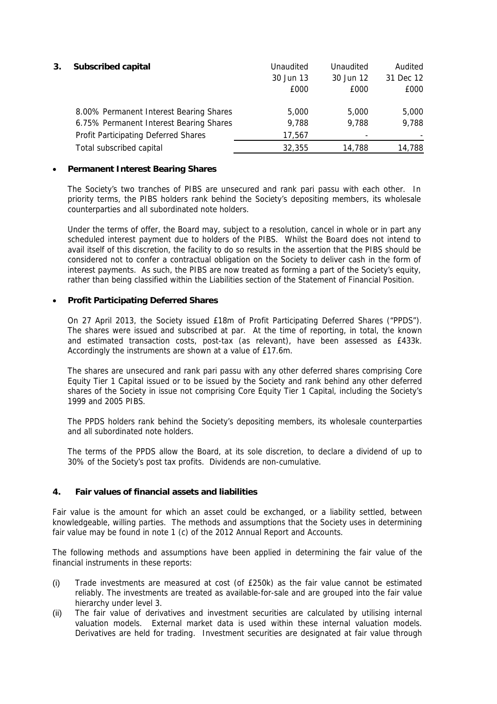| 3. | <b>Subscribed capital</b>               | Unaudited<br>30 Jun 13<br>£000 | Unaudited<br>30 Jun 12<br>£000 | Audited<br>31 Dec 12<br>£000 |
|----|-----------------------------------------|--------------------------------|--------------------------------|------------------------------|
|    | 8.00% Permanent Interest Bearing Shares | 5,000                          | 5,000                          | 5,000                        |
|    | 6.75% Permanent Interest Bearing Shares | 9,788                          | 9,788                          | 9,788                        |
|    | Profit Participating Deferred Shares    | 17,567                         |                                |                              |
|    | Total subscribed capital                | 32,355                         | 14,788                         | 14,788                       |

### **Permanent Interest Bearing Shares**

The Society's two tranches of PIBS are unsecured and rank pari passu with each other. In priority terms, the PIBS holders rank behind the Society's depositing members, its wholesale counterparties and all subordinated note holders.

Under the terms of offer, the Board may, subject to a resolution, cancel in whole or in part any scheduled interest payment due to holders of the PIBS. Whilst the Board does not intend to avail itself of this discretion, the facility to do so results in the assertion that the PIBS should be considered not to confer a contractual obligation on the Society to deliver cash in the form of interest payments. As such, the PIBS are now treated as forming a part of the Society's equity, rather than being classified within the Liabilities section of the Statement of Financial Position.

## **Profit Participating Deferred Shares**

On 27 April 2013, the Society issued £18m of Profit Participating Deferred Shares ("PPDS"). The shares were issued and subscribed at par. At the time of reporting, in total, the known and estimated transaction costs, post-tax (as relevant), have been assessed as £433k. Accordingly the instruments are shown at a value of £17.6m.

The shares are unsecured and rank pari passu with any other deferred shares comprising Core Equity Tier 1 Capital issued or to be issued by the Society and rank behind any other deferred shares of the Society in issue not comprising Core Equity Tier 1 Capital, including the Society's 1999 and 2005 PIBS.

The PPDS holders rank behind the Society's depositing members, its wholesale counterparties and all subordinated note holders.

The terms of the PPDS allow the Board, at its sole discretion, to declare a dividend of up to 30% of the Society's post tax profits. Dividends are non-cumulative.

### **4. Fair values of financial assets and liabilities**

Fair value is the amount for which an asset could be exchanged, or a liability settled, between knowledgeable, willing parties. The methods and assumptions that the Society uses in determining fair value may be found in note 1 (c) of the 2012 Annual Report and Accounts.

The following methods and assumptions have been applied in determining the fair value of the financial instruments in these reports:

- (i) Trade investments are measured at cost (of £250k) as the fair value cannot be estimated reliably. The investments are treated as available-for-sale and are grouped into the fair value hierarchy under level 3.
- (ii) The fair value of derivatives and investment securities are calculated by utilising internal valuation models. External market data is used within these internal valuation models. Derivatives are held for trading. Investment securities are designated at fair value through